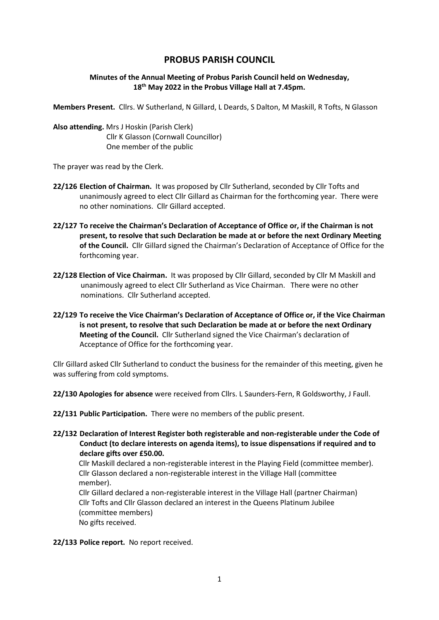# **PROBUS PARISH COUNCIL**

#### **Minutes of the Annual Meeting of Probus Parish Council held on Wednesday, 18th May 2022 in the Probus Village Hall at 7.45pm.**

**Members Present.** Cllrs. W Sutherland, N Gillard, L Deards, S Dalton, M Maskill, R Tofts, N Glasson

**Also attending.** Mrs J Hoskin (Parish Clerk) Cllr K Glasson (Cornwall Councillor) One member of the public

The prayer was read by the Clerk.

- **22/126 Election of Chairman.** It was proposed by Cllr Sutherland, seconded by Cllr Tofts and unanimously agreed to elect Cllr Gillard as Chairman for the forthcoming year. There were no other nominations. Cllr Gillard accepted.
- **22/127 To receive the Chairman's Declaration of Acceptance of Office or, if the Chairman is not present, to resolve that such Declaration be made at or before the next Ordinary Meeting of the Council.** Cllr Gillard signed the Chairman's Declaration of Acceptance of Office for the forthcoming year.
- **22/128 Election of Vice Chairman.** It was proposed by Cllr Gillard, seconded by Cllr M Maskill and unanimously agreed to elect Cllr Sutherland as Vice Chairman. There were no other nominations. Cllr Sutherland accepted.
- **22/129 To receive the Vice Chairman's Declaration of Acceptance of Office or, if the Vice Chairman is not present, to resolve that such Declaration be made at or before the next Ordinary Meeting of the Council.** Cllr Sutherland signed the Vice Chairman's declaration of Acceptance of Office for the forthcoming year.

Cllr Gillard asked Cllr Sutherland to conduct the business for the remainder of this meeting, given he was suffering from cold symptoms.

**22/130 Apologies for absence** were received from Cllrs. L Saunders-Fern, R Goldsworthy, J Faull.

**22/131 Public Participation.** There were no members of the public present.

**22/132 Declaration of Interest Register both registerable and non-registerable under the Code of Conduct (to declare interests on agenda items), to issue dispensations if required and to declare gifts over £50.00.** 

Cllr Maskill declared a non-registerable interest in the Playing Field (committee member). Cllr Glasson declared a non-registerable interest in the Village Hall (committee member).

 Cllr Gillard declared a non-registerable interest in the Village Hall (partner Chairman) Cllr Tofts and Cllr Glasson declared an interest in the Queens Platinum Jubilee (committee members) No gifts received.

**22/133 Police report.** No report received.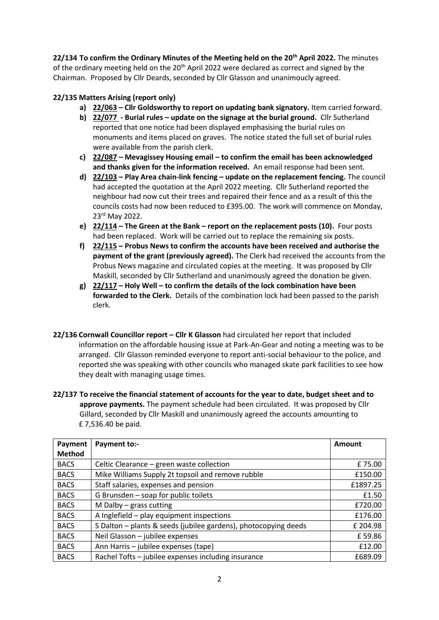**22/134 To confirm the Ordinary Minutes of the Meeting held on the 20th April 2022.** The minutes of the ordinary meeting held on the 20<sup>th</sup> April 2022 were declared as correct and signed by the Chairman. Proposed by Cllr Deards, seconded by Cllr Glasson and unanimoucly agreed.

## **22/135 Matters Arising (report only)**

- **a) 22/063 – Cllr Goldsworthy to report on updating bank signatory.** Item carried forward.
- **b) 22/077 - Burial rules – update on the signage at the burial ground.** Cllr Sutherland reported that one notice had been displayed emphasising the burial rules on monuments and items placed on graves. The notice stated the full set of burial rules were available from the parish clerk.
- **c) 22/087 – Mevagissey Housing email – to confirm the email has been acknowledged and thanks given for the information received.** An email response had been sent.
- **d) 22/103 – Play Area chain-link fencing – update on the replacement fencing.** The council had accepted the quotation at the April 2022 meeting. Cllr Sutherland reported the neighbour had now cut their trees and repaired their fence and as a result of this the councils costs had now been reduced to £395.00. The work will commence on Monday, 23rd May 2022.
- **e) 22/114 – The Green at the Bank – report on the replacement posts (10).** Four posts had been replaced. Work will be carried out to replace the remaining six posts.
- **f) 22/115 – Probus News to confirm the accounts have been received and authorise the payment of the grant (previously agreed).** The Clerk had received the accounts from the Probus News magazine and circulated copies at the meeting. It was proposed by Cllr Maskill, seconded by Cllr Sutherland and unanimously agreed the donation be given.
- **g) 22/117 – Holy Well – to confirm the details of the lock combination have been forwarded to the Clerk.** Details of the combination lock had been passed to the parish clerk.
- **22/136 Cornwall Councillor report – Cllr K Glasson** had circulated her report that included information on the affordable housing issue at Park-An-Gear and noting a meeting was to be arranged. Cllr Glasson reminded everyone to report anti-social behaviour to the police, and reported she was speaking with other councils who managed skate park facilities to see how they dealt with managing usage times.
- **22/137 To receive the financial statement of accounts for the year to date, budget sheet and to approve payments.** The payment schedule had been circulated. It was proposed by Cllr Gillard, seconded by Cllr Maskill and unanimously agreed the accounts amounting to £ 7,536.40 be paid.

| Payment       | <b>Payment to:-</b>                                             | Amount   |
|---------------|-----------------------------------------------------------------|----------|
| <b>Method</b> |                                                                 |          |
| <b>BACS</b>   | Celtic Clearance - green waste collection                       | £75.00   |
| <b>BACS</b>   | Mike Williams Supply 2t topsoil and remove rubble               | £150.00  |
| <b>BACS</b>   | Staff salaries, expenses and pension                            | £1897.25 |
| <b>BACS</b>   | G Brunsden - soap for public toilets                            | £1.50    |
| <b>BACS</b>   | M Dalby $-$ grass cutting                                       | £720.00  |
| <b>BACS</b>   | A Inglefield - play equipment inspections                       | £176.00  |
| <b>BACS</b>   | S Dalton - plants & seeds (jubilee gardens), photocopying deeds | £ 204.98 |
| <b>BACS</b>   | Neil Glasson - jubilee expenses                                 | £59.86   |
| <b>BACS</b>   | Ann Harris - jubilee expenses (tape)                            | £12.00   |
| <b>BACS</b>   | Rachel Tofts - jubilee expenses including insurance             | £689.09  |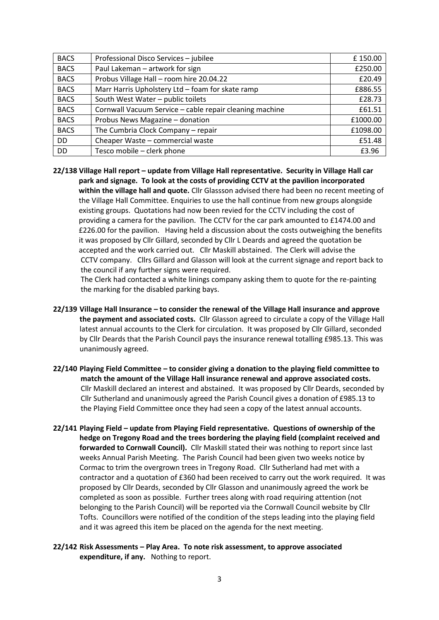| <b>BACS</b> | Professional Disco Services - jubilee                   | £150.00  |
|-------------|---------------------------------------------------------|----------|
| <b>BACS</b> | Paul Lakeman - artwork for sign                         | £250.00  |
| <b>BACS</b> | Probus Village Hall - room hire 20.04.22                | £20.49   |
| <b>BACS</b> | Marr Harris Upholstery Ltd - foam for skate ramp        | £886.55  |
| <b>BACS</b> | South West Water - public toilets                       | £28.73   |
| <b>BACS</b> | Cornwall Vacuum Service - cable repair cleaning machine | £61.51   |
| <b>BACS</b> | Probus News Magazine - donation                         | £1000.00 |
| <b>BACS</b> | The Cumbria Clock Company - repair                      | £1098.00 |
| DD          | Cheaper Waste - commercial waste                        | £51.48   |
| DD          | Tesco mobile - clerk phone                              | £3.96    |

**22/138 Village Hall report – update from Village Hall representative. Security in Village Hall car park and signage. To look at the costs of providing CCTV at the pavilion incorporated within the village hall and quote.** Cllr Glassson advised there had been no recent meeting of the Village Hall Committee. Enquiries to use the hall continue from new groups alongside existing groups. Quotations had now been revied for the CCTV including the cost of providing a camera for the pavilion. The CCTV for the car park amounted to £1474.00 and £226.00 for the pavilion. Having held a discussion about the costs outweighing the benefits it was proposed by Cllr Gillard, seconded by Cllr L Deards and agreed the quotation be accepted and the work carried out. Cllr Maskill abstained. The Clerk will advise the CCTV company. Cllrs Gillard and Glasson will look at the current signage and report back to the council if any further signs were required.

 The Clerk had contacted a white linings company asking them to quote for the re-painting the marking for the disabled parking bays.

- **22/139 Village Hall Insurance – to consider the renewal of the Village Hall insurance and approve the payment and associated costs.** Cllr Glasson agreed to circulate a copy of the Village Hall latest annual accounts to the Clerk for circulation. It was proposed by Cllr Gillard, seconded by Cllr Deards that the Parish Council pays the insurance renewal totalling £985.13. This was unanimously agreed.
- **22/140 Playing Field Committee – to consider giving a donation to the playing field committee to match the amount of the Village Hall insurance renewal and approve associated costs.** Cllr Maskill declared an interest and abstained. It was proposed by Cllr Deards, seconded by Cllr Sutherland and unanimously agreed the Parish Council gives a donation of £985.13 to the Playing Field Committee once they had seen a copy of the latest annual accounts.
- **22/141 Playing Field – update from Playing Field representative. Questions of ownership of the hedge on Tregony Road and the trees bordering the playing field (complaint received and forwarded to Cornwall Council).** Cllr Maskill stated their was nothing to report since last weeks Annual Parish Meeting. The Parish Council had been given two weeks notice by Cormac to trim the overgrown trees in Tregony Road. Cllr Sutherland had met with a contractor and a quotation of £360 had been received to carry out the work required. It was proposed by Cllr Deards, seconded by Cllr Glasson and unanimously agreed the work be completed as soon as possible. Further trees along with road requiring attention (not belonging to the Parish Council) will be reported via the Cornwall Council website by Cllr Tofts. Councillors were notified of the condition of the steps leading into the playing field and it was agreed this item be placed on the agenda for the next meeting.
- **22/142 Risk Assessments – Play Area. To note risk assessment, to approve associated expenditure, if any.** Nothing to report.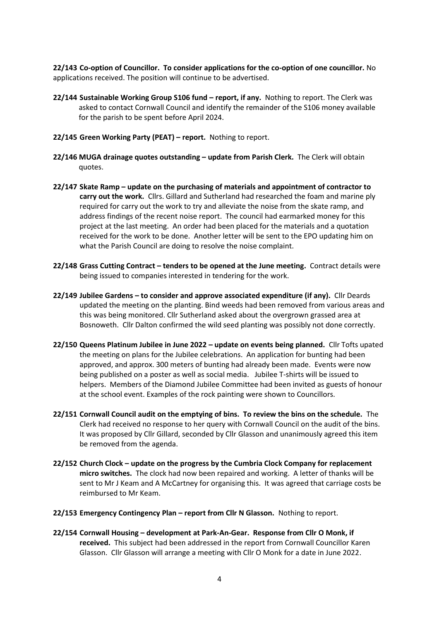**22/143 Co-option of Councillor. To consider applications for the co-option of one councillor.** No applications received. The position will continue to be advertised.

- **22/144 Sustainable Working Group S106 fund – report, if any.** Nothing to report. The Clerk was asked to contact Cornwall Council and identify the remainder of the S106 money available for the parish to be spent before April 2024.
- **22/145 Green Working Party (PEAT) – report.** Nothing to report.
- **22/146 MUGA drainage quotes outstanding – update from Parish Clerk.** The Clerk will obtain quotes.
- **22/147 Skate Ramp – update on the purchasing of materials and appointment of contractor to carry out the work.** Cllrs. Gillard and Sutherland had researched the foam and marine ply required for carry out the work to try and alleviate the noise from the skate ramp, and address findings of the recent noise report. The council had earmarked money for this project at the last meeting. An order had been placed for the materials and a quotation received for the work to be done. Another letter will be sent to the EPO updating him on what the Parish Council are doing to resolve the noise complaint.
- **22/148 Grass Cutting Contract – tenders to be opened at the June meeting.** Contract details were being issued to companies interested in tendering for the work.
- **22/149 Jubilee Gardens – to consider and approve associated expenditure (if any).** Cllr Deards updated the meeting on the planting. Bind weeds had been removed from various areas and this was being monitored. Cllr Sutherland asked about the overgrown grassed area at Bosnoweth. Cllr Dalton confirmed the wild seed planting was possibly not done correctly.
- **22/150 Queens Platinum Jubilee in June 2022 – update on events being planned.** Cllr Tofts upated the meeting on plans for the Jubilee celebrations. An application for bunting had been approved, and approx. 300 meters of bunting had already been made. Events were now being published on a poster as well as social media. Jubilee T-shirts will be issued to helpers. Members of the Diamond Jubilee Committee had been invited as guests of honour at the school event. Examples of the rock painting were shown to Councillors.
- **22/151 Cornwall Council audit on the emptying of bins. To review the bins on the schedule.** The Clerk had received no response to her query with Cornwall Council on the audit of the bins. It was proposed by Cllr Gillard, seconded by Cllr Glasson and unanimously agreed this item be removed from the agenda.
- **22/152 Church Clock – update on the progress by the Cumbria Clock Company for replacement micro switches.** The clock had now been repaired and working. A letter of thanks will be sent to Mr J Keam and A McCartney for organising this. It was agreed that carriage costs be reimbursed to Mr Keam.
- **22/153 Emergency Contingency Plan – report from Cllr N Glasson.** Nothing to report.
- **22/154 Cornwall Housing – development at Park-An-Gear. Response from Cllr O Monk, if received.** This subject had been addressed in the report from Cornwall Councillor Karen Glasson. Cllr Glasson will arrange a meeting with Cllr O Monk for a date in June 2022.